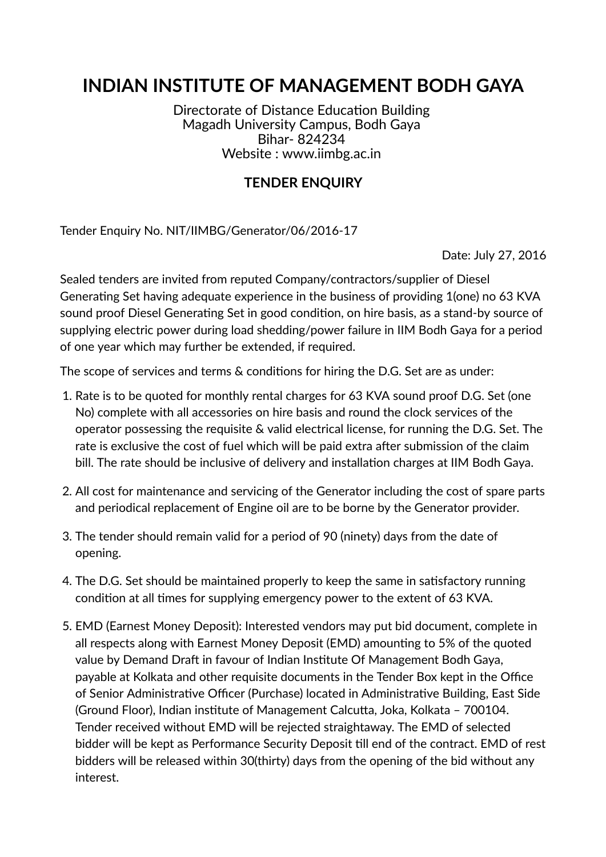# **INDIAN INSTITUTE OF MANAGEMENT BODH GAYA**

Directorate of Distance Education Building Magadh University Campus, Bodh Gaya Bihar- 824234 Website : www.iimbg.ac.in

### **TENDER ENQUIRY**

Tender Enquiry No. NIT/IIMBG/Generator/06/2016-17

Date: July 27, 2016

Sealed tenders are invited from reputed Company/contractors/supplier of Diesel Generating Set having adequate experience in the business of providing 1(one) no 63 KVA sound proof Diesel Generating Set in good condition, on hire basis, as a stand-by source of supplying electric power during load shedding/power failure in IIM Bodh Gaya for a period of one year which may further be extended, if required.

The scope of services and terms & conditions for hiring the D.G. Set are as under:

- 1. Rate is to be quoted for monthly rental charges for 63 KVA sound proof D.G. Set (one No) complete with all accessories on hire basis and round the clock services of the operator possessing the requisite & valid electrical license, for running the D.G. Set. The rate is exclusive the cost of fuel which will be paid extra after submission of the claim bill. The rate should be inclusive of delivery and installation charges at IIM Bodh Gaya.
- 2. All cost for maintenance and servicing of the Generator including the cost of spare parts and periodical replacement of Engine oil are to be borne by the Generator provider.
- 3. The tender should remain valid for a period of 90 (ninety) days from the date of opening.
- 4. The D.G. Set should be maintained properly to keep the same in satisfactory running condition at all times for supplying emergency power to the extent of 63 KVA.
- 5. EMD (Earnest Money Deposit): Interested vendors may put bid document, complete in all respects along with Earnest Money Deposit (EMD) amounting to 5% of the quoted value by Demand Draft in favour of Indian Institute Of Management Bodh Gaya, payable at Kolkata and other requisite documents in the Tender Box kept in the Office of Senior Administrative Officer (Purchase) located in Administrative Building, East Side (Ground Floor), Indian institute of Management Calcutta, Joka, Kolkata - 700104. Tender received without EMD will be rejected straightaway. The EMD of selected bidder will be kept as Performance Security Deposit till end of the contract. EMD of rest bidders will be released within 30(thirty) days from the opening of the bid without any interest.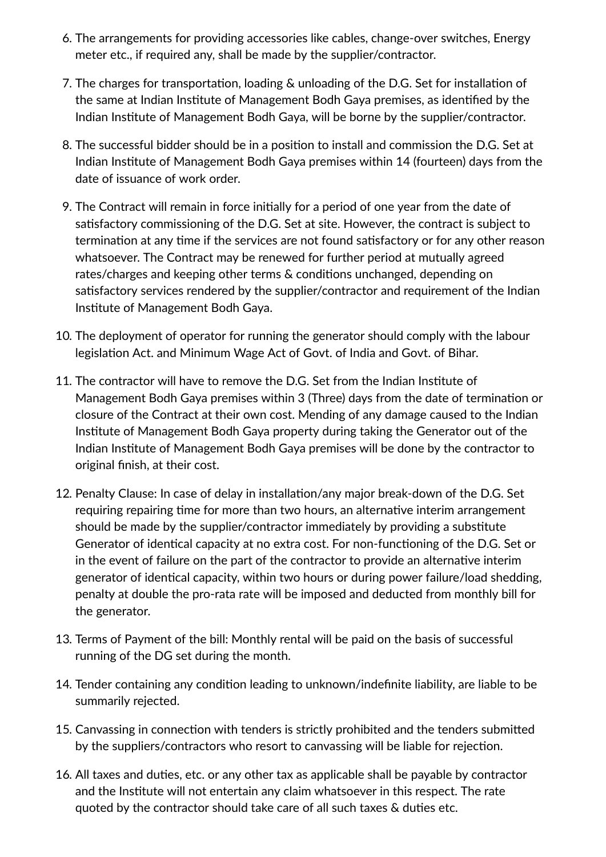- 6. The arrangements for providing accessories like cables, change-over switches, Energy meter etc., if required any, shall be made by the supplier/contractor.
- 7. The charges for transportation, loading & unloading of the D.G. Set for installation of the same at Indian Institute of Management Bodh Gaya premises, as identified by the Indian Institute of Management Bodh Gaya, will be borne by the supplier/contractor.
- 8. The successful bidder should be in a position to install and commission the D.G. Set at Indian Institute of Management Bodh Gaya premises within 14 (fourteen) days from the date of issuance of work order.
- 9. The Contract will remain in force initially for a period of one year from the date of satisfactory commissioning of the D.G. Set at site. However, the contract is subject to termination at any time if the services are not found satisfactory or for any other reason whatsoever. The Contract may be renewed for further period at mutually agreed rates/charges and keeping other terms & conditions unchanged, depending on satisfactory services rendered by the supplier/contractor and requirement of the Indian Institute of Management Bodh Gaya.
- 10. The deployment of operator for running the generator should comply with the labour legislation Act. and Minimum Wage Act of Govt. of India and Govt. of Bihar.
- 11. The contractor will have to remove the D.G. Set from the Indian Institute of Management Bodh Gaya premises within 3 (Three) days from the date of termination or closure of the Contract at their own cost. Mending of any damage caused to the Indian Institute of Management Bodh Gaya property during taking the Generator out of the Indian Institute of Management Bodh Gaya premises will be done by the contractor to original finish, at their cost.
- 12. Penalty Clause: In case of delay in installation/any major break-down of the D.G. Set requiring repairing time for more than two hours, an alternative interim arrangement should be made by the supplier/contractor immediately by providing a substitute Generator of identical capacity at no extra cost. For non-functioning of the D.G. Set or in the event of failure on the part of the contractor to provide an alternative interim generator of identical capacity, within two hours or during power failure/load shedding, penalty at double the pro-rata rate will be imposed and deducted from monthly bill for the generator.
- 13. Terms of Payment of the bill: Monthly rental will be paid on the basis of successful running of the DG set during the month.
- 14. Tender containing any condition leading to unknown/indefinite liability, are liable to be summarily rejected.
- 15. Canvassing in connection with tenders is strictly prohibited and the tenders submitted by the suppliers/contractors who resort to canvassing will be liable for rejection.
- 16. All taxes and duties, etc. or any other tax as applicable shall be payable by contractor and the Institute will not entertain any claim whatsoever in this respect. The rate quoted by the contractor should take care of all such taxes  $\&$  duties etc.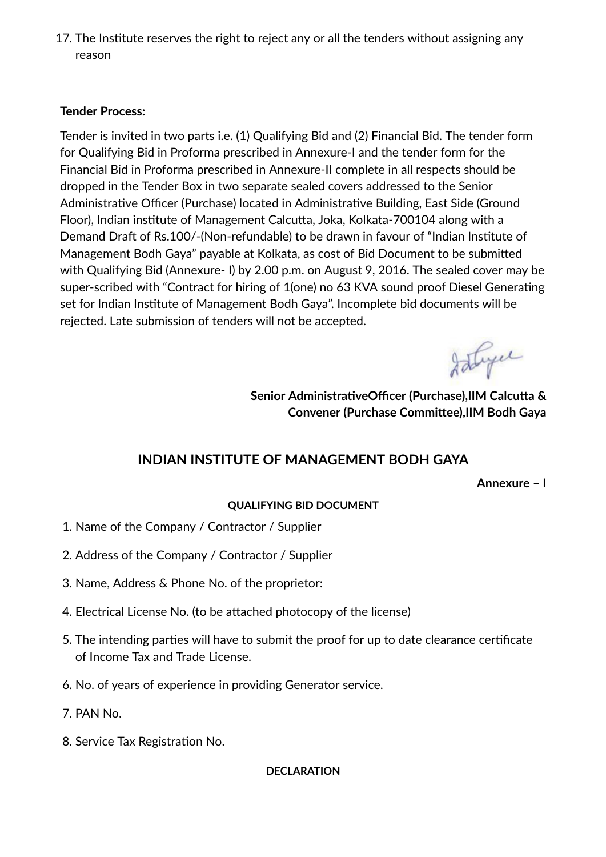17. The Institute reserves the right to reject any or all the tenders without assigning any reason

### **Tender Process:**

Tender is invited in two parts i.e. (1) Qualifying Bid and (2) Financial Bid. The tender form for Qualifying Bid in Proforma prescribed in Annexure-I and the tender form for the Financial Bid in Proforma prescribed in Annexure-II complete in all respects should be dropped in the Tender Box in two separate sealed covers addressed to the Senior Administrative Officer (Purchase) located in Administrative Building, East Side (Ground Floor), Indian institute of Management Calcutta, Joka, Kolkata-700104 along with a Demand Draft of Rs.100/-(Non-refundable) to be drawn in favour of "Indian Institute of Management Bodh Gaya" payable at Kolkata, as cost of Bid Document to be submitted with Qualifying Bid (Annexure- I) by 2.00 p.m. on August 9, 2016. The sealed cover may be super-scribed with "Contract for hiring of 1(one) no 63 KVA sound proof Diesel Generating set for Indian Institute of Management Bodh Gaya". Incomplete bid documents will be rejected. Late submission of tenders will not be accepted.

Istyce

**Senior AdministrativeOfficer (Purchase), IIM Calcutta & Convener** (Purchase Committee), IIM Bodh Gaya

## **INDIAN INSTITUTE OF MANAGEMENT BODH GAYA**

**Annexure – I**

#### **QUALIFYING BID DOCUMENT**

- 1. Name of the Company / Contractor / Supplier
- 2. Address of the Company / Contractor / Supplier
- 3. Name, Address & Phone No. of the proprietor:
- 4. Electrical License No. (to be attached photocopy of the license)
- 5. The intending parties will have to submit the proof for up to date clearance certificate of Income Tax and Trade License.
- 6. No. of years of experience in providing Generator service.
- 7. PAN No.
- 8. Service Tax Registration No.

**DECLARATION**